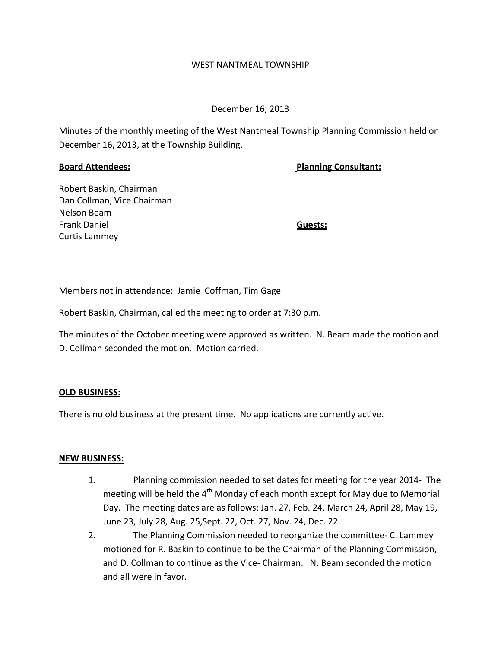#### WEST NANTMEAL TOWNSHIP

## December 16, 2013

Minutes of the monthly meeting of the West Nantmeal Township Planning Commission held on December 16, 2013, at the Township Building.

**Board Attendees: Planning Consultant:**

Robert Baskin, Chairman Dan Collman, Vice Chairman Nelson Beam Frank Daniel **Guests:** Curtis Lammey

Members not in attendance: Jamie Coffman, Tim Gage

Robert Baskin, Chairman, called the meeting to order at 7:30 p.m.

The minutes of the October meeting were approved as written. N. Beam made the motion and D. Collman seconded the motion. Motion carried.

## **OLD BUSINESS:**

There is no old business at the present time. No applications are currently active.

## **NEW BUSINESS:**

- 1. Planning commission needed to set dates for meeting for the year 2014‐ The meeting will be held the  $4<sup>th</sup>$  Monday of each month except for May due to Memorial Day. The meeting dates are as follows: Jan. 27, Feb. 24, March 24, April 28, May 19, June 23, July 28, Aug. 25,Sept. 22, Oct. 27, Nov. 24, Dec. 22.
- 2. The Planning Commission needed to reorganize the committee‐ C. Lammey motioned for R. Baskin to continue to be the Chairman of the Planning Commission, and D. Collman to continue as the Vice‐ Chairman. N. Beam seconded the motion and all were in favor.